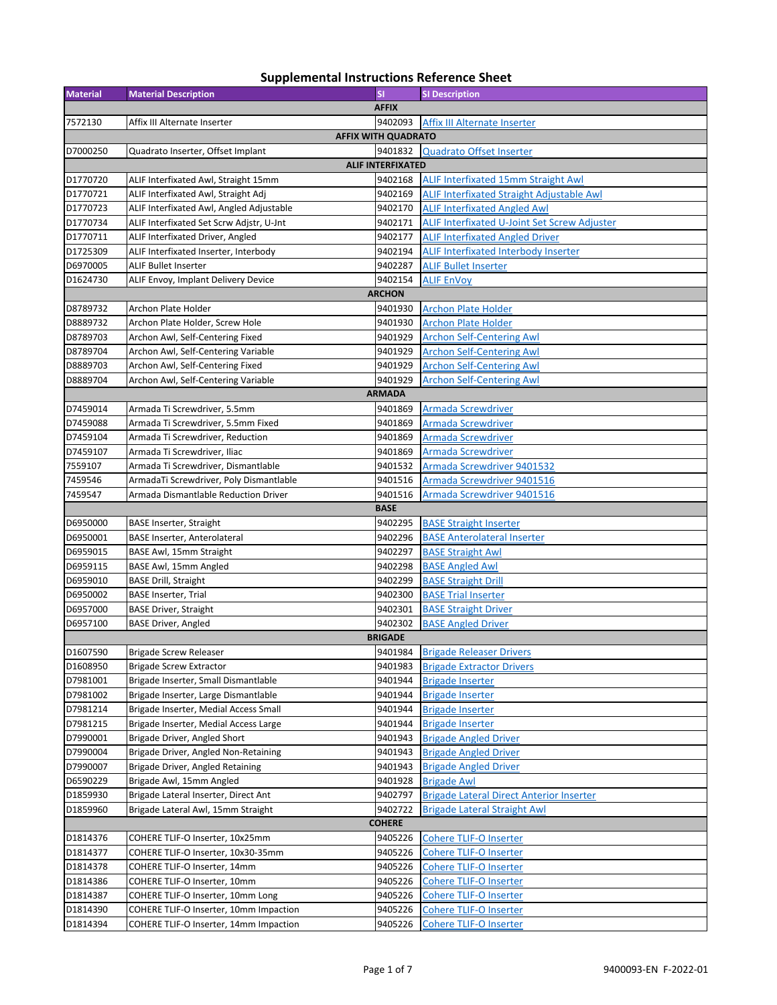## **Material Material Description SI SI Description** 7572130 Affix III Alternate Inserter **19402093** Affix III Alternate Inserter D7000250 Quadrato Inserter, Offset Implant 9401832 Quadrato Offset Inserter D1770720 ALIF Interfixated Awl, Straight 15mm 9402168 ALIF Interfixated 15mm Straight Awl D1770721 ALIF Interfixated Awl, Straight Adj **ALIF Interfixated Straight Adjustable Awl** D1770723 ALIF Interfixated Awl, Angled Adjustable 9402170 ALIF Interfixated Angled Awl D1770734 ALIF Interfixated Set Scrw Adjstr, U-Jnt 9402171 ALIF Interfixated U-Joint Set Screw Adjuster D1770711 ALIF Interfixated Driver, Angled **19402177** ALIF Interfixated Angled Driver D1725309 ALIF Interfixated Inserter, Interbody **State Interfixated Interfixated Interbody** Inserter D6970005 ALIF Bullet Inserter 9402287 ALIF Bullet Inserter D1624730 ALIF Envoy, Implant Delivery Device Market Manuscript 19402154 ALIF EnVoy D8789732 Archon Plate Holder 9401930 Archon Plate Holder D8889732 Archon Plate Holder, Screw Hole **1988**9732 Archon Plate Holder D8789703 Archon Awl, Self‐Centering Fixed 9401929 Archon Self‐Centering Awl D8789704 Archon Awl, Self‐Centering Variable 9401929 Archon Self‐Centering Awl D8889703 Archon Awl, Self-Centering Fixed 9401929 Archon Self-Centering Awl<br>19401929 Archon Self-Centering Variable 9401929 Archon Self-Centering Awl D8889704 Archon Awl, Self-Centering Variable D7459014 Armada Ti Screwdriver, 5.5mm 9401869 Armada Screwdriver D7459088 Armada Ti Screwdriver, 5.5mm Fixed | 9401869 Armada Screwdriver D7459104 Armada Ti Screwdriver, Reduction **19401869** Armada Screwdriver D7459107 Armada Ti Screwdriver, Iliac 9401869 Armada Screwdriver 7559107 Armada Ti Screwdriver, Dismantlable 9401532 Armada Screwdriver 9401532 7459546 ArmadaTi Screwdriver, Poly Dismantlable 9401516 Armada Screwdriver 9401516 7459547 Armada Dismantlable Reduction Driver 9401516 Armada Screwdriver 9401516 D6950000 BASE Inserter, Straight 9402295 BASE Straight Inserter D6950001 BASE Inserter, Anterolateral 9402296 BASE Anterolateral Inserter D6959015 BASE Awl, 15mm Straight 9402297 BASE Straight Awl D6959115 BASE Awl, 15mm Angled **1969** BASE Angled Awl D6959010 BASE Drill, Straight 9402299 BASE Straight Drill D6950002 BASE Inserter, Trial 9402300 BASE Trial Inserter D6957000 BASE Driver, Straight 9402301 BASE Straight Driver D6957100 BASE Driver, Angled **Base Angled Struck and Australian Struck** 9402302 BASE Angled Driver D1607590 Brigade Screw Releaser **1998** Brigade Releaser Drivers **Brigade Releaser Drivers** D1608950 Brigade Screw Extractor 9401983 Brigade Extractor Drivers D7981001 Brigade Inserter, Small Dismantlable **19401944** Brigade Inserter<br>
D7981002 Brigade Inserter, Large Dismantlable 19401944 Brigade Inserter D7981002 Brigade Inserter, Large Dismantlable **1988** 8401944 Brigade Inserter **AFFIX AFFIX WITH QUADRATO ALIF INTERFIXATED ARCHON ARMADA BASE BRIGADE**

| D7981002      | Brigade Inserter, Large Dismantlable   | 9401944 | <b>Brigade Inserter</b>                         |  |
|---------------|----------------------------------------|---------|-------------------------------------------------|--|
| D7981214      | Brigade Inserter, Medial Access Small  | 9401944 | <b>Brigade Inserter</b>                         |  |
| D7981215      | Brigade Inserter, Medial Access Large  | 9401944 | <b>Brigade Inserter</b>                         |  |
| D7990001      | Brigade Driver, Angled Short           | 9401943 | <b>Brigade Angled Driver</b>                    |  |
| D7990004      | Brigade Driver, Angled Non-Retaining   | 9401943 | <b>Brigade Angled Driver</b>                    |  |
| D7990007      | Brigade Driver, Angled Retaining       | 9401943 | <b>Brigade Angled Driver</b>                    |  |
| D6590229      | Brigade Awl, 15mm Angled               | 9401928 | <b>Brigade Awl</b>                              |  |
| D1859930      | Brigade Lateral Inserter, Direct Ant   | 9402797 | <b>Brigade Lateral Direct Anterior Inserter</b> |  |
| D1859960      | Brigade Lateral Awl, 15mm Straight     | 9402722 | <b>Brigade Lateral Straight Awl</b>             |  |
| <b>COHERE</b> |                                        |         |                                                 |  |
| D1814376      | COHERE TLIF-O Inserter, 10x25mm        | 9405226 | <b>Cohere TLIF-O Inserter</b>                   |  |
|               |                                        |         |                                                 |  |
| D1814377      | COHERE TLIF-O Inserter, 10x30-35mm     | 9405226 | <b>Cohere TLIF-O Inserter</b>                   |  |
| D1814378      | COHERE TLIF-O Inserter, 14mm           | 9405226 | <b>Cohere TLIF-O Inserter</b>                   |  |
| D1814386      | COHERE TLIF-O Inserter, 10mm           | 9405226 | <b>Cohere TLIF-O Inserter</b>                   |  |
| D1814387      | COHERE TLIF-O Inserter, 10mm Long      | 9405226 | <b>Cohere TLIF-O Inserter</b>                   |  |
| D1814390      | COHERE TLIF-O Inserter, 10mm Impaction | 9405226 | <b>Cohere TLIF-O Inserter</b>                   |  |
| D1814394      | COHERE TLIF-O Inserter, 14mm Impaction | 9405226 | <b>Cohere TLIF-O Inserter</b>                   |  |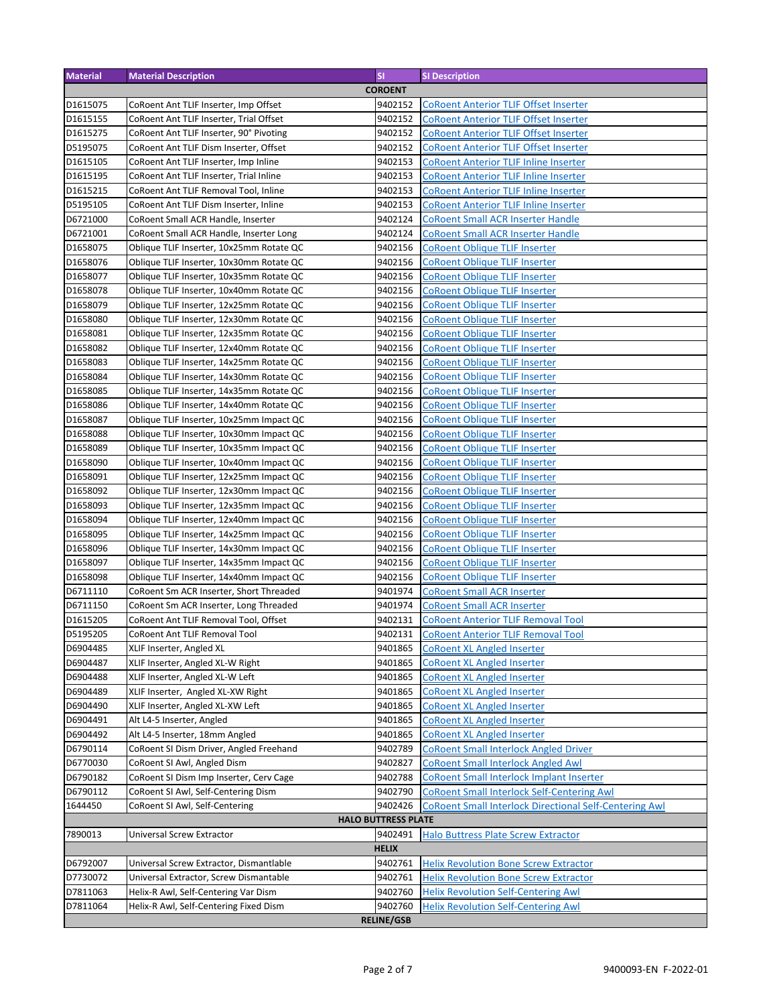| <b>Material</b>   | <b>Material Description</b>              | <b>SI</b>                  | <b>SI Description</b>                                         |
|-------------------|------------------------------------------|----------------------------|---------------------------------------------------------------|
|                   |                                          | <b>COROENT</b>             |                                                               |
| D1615075          | CoRoent Ant TLIF Inserter, Imp Offset    | 9402152                    | <b>CoRoent Anterior TLIF Offset Inserter</b>                  |
| D1615155          | CoRoent Ant TLIF Inserter, Trial Offset  | 9402152                    | <b>CoRoent Anterior TLIF Offset Inserter</b>                  |
| D1615275          | CoRoent Ant TLIF Inserter, 90° Pivoting  | 9402152                    | <b>CoRoent Anterior TLIF Offset Inserter</b>                  |
| D5195075          | CoRoent Ant TLIF Dism Inserter, Offset   | 9402152                    | <b>CoRoent Anterior TLIF Offset Inserter</b>                  |
| D1615105          | CoRoent Ant TLIF Inserter, Imp Inline    | 9402153                    | <b>CoRoent Anterior TLIF Inline Inserter</b>                  |
| D1615195          | CoRoent Ant TLIF Inserter, Trial Inline  | 9402153                    | <b>CoRoent Anterior TLIF Inline Inserter</b>                  |
| D1615215          | CoRoent Ant TLIF Removal Tool, Inline    | 9402153                    | <b>CoRoent Anterior TLIF Inline Inserter</b>                  |
| D5195105          | CoRoent Ant TLIF Dism Inserter, Inline   | 9402153                    | <b>CoRoent Anterior TLIF Inline Inserter</b>                  |
| D6721000          |                                          | 9402124                    | <b>CoRoent Small ACR Inserter Handle</b>                      |
|                   | CoRoent Small ACR Handle, Inserter       |                            |                                                               |
| D6721001          | CoRoent Small ACR Handle, Inserter Long  | 9402124                    | <b>CoRoent Small ACR Inserter Handle</b>                      |
| D1658075          | Oblique TLIF Inserter, 10x25mm Rotate QC | 9402156                    | <b>CoRoent Oblique TLIF Inserter</b>                          |
| D1658076          | Oblique TLIF Inserter, 10x30mm Rotate QC | 9402156                    | <b>CoRoent Oblique TLIF Inserter</b>                          |
| D1658077          | Oblique TLIF Inserter, 10x35mm Rotate QC | 9402156                    | <b>CoRoent Oblique TLIF Inserter</b>                          |
| D1658078          | Oblique TLIF Inserter, 10x40mm Rotate QC | 9402156                    | <b>CoRoent Oblique TLIF Inserter</b>                          |
| D1658079          | Oblique TLIF Inserter, 12x25mm Rotate QC | 9402156                    | <b>CoRoent Oblique TLIF Inserter</b>                          |
| D1658080          | Oblique TLIF Inserter, 12x30mm Rotate QC | 9402156                    | <b>CoRoent Oblique TLIF Inserter</b>                          |
| D1658081          | Oblique TLIF Inserter, 12x35mm Rotate QC | 9402156                    | <b>CoRoent Oblique TLIF Inserter</b>                          |
| D1658082          | Oblique TLIF Inserter, 12x40mm Rotate QC | 9402156                    | <b>CoRoent Oblique TLIF Inserter</b>                          |
| D1658083          | Oblique TLIF Inserter, 14x25mm Rotate QC | 9402156                    | <b>CoRoent Oblique TLIF Inserter</b>                          |
| D1658084          | Oblique TLIF Inserter, 14x30mm Rotate QC | 9402156                    | <b>CoRoent Oblique TLIF Inserter</b>                          |
| D1658085          | Oblique TLIF Inserter, 14x35mm Rotate QC | 9402156                    | <b>CoRoent Oblique TLIF Inserter</b>                          |
| D1658086          | Oblique TLIF Inserter, 14x40mm Rotate QC | 9402156                    | <b>CoRoent Oblique TLIF Inserter</b>                          |
| D1658087          | Oblique TLIF Inserter, 10x25mm Impact QC | 9402156                    | <b>CoRoent Oblique TLIF Inserter</b>                          |
| D1658088          | Oblique TLIF Inserter, 10x30mm Impact QC | 9402156                    | <b>CoRoent Oblique TLIF Inserter</b>                          |
| D1658089          | Oblique TLIF Inserter, 10x35mm Impact QC | 9402156                    | <b>CoRoent Oblique TLIF Inserter</b>                          |
| D1658090          | Oblique TLIF Inserter, 10x40mm Impact QC | 9402156                    | <b>CoRoent Oblique TLIF Inserter</b>                          |
| D1658091          | Oblique TLIF Inserter, 12x25mm Impact QC | 9402156                    | <b>CoRoent Oblique TLIF Inserter</b>                          |
| D1658092          | Oblique TLIF Inserter, 12x30mm Impact QC | 9402156                    | <b>CoRoent Oblique TLIF Inserter</b>                          |
| D1658093          | Oblique TLIF Inserter, 12x35mm Impact QC | 9402156                    | <b>CoRoent Oblique TLIF Inserter</b>                          |
| D1658094          |                                          | 9402156                    |                                                               |
|                   | Oblique TLIF Inserter, 12x40mm Impact QC |                            | <b>CoRoent Oblique TLIF Inserter</b>                          |
| D1658095          | Oblique TLIF Inserter, 14x25mm Impact QC | 9402156                    | <b>CoRoent Oblique TLIF Inserter</b>                          |
| D1658096          | Oblique TLIF Inserter, 14x30mm Impact QC | 9402156                    | <b>CoRoent Oblique TLIF Inserter</b>                          |
| D1658097          | Oblique TLIF Inserter, 14x35mm Impact QC | 9402156                    | <b>CoRoent Oblique TLIF Inserter</b>                          |
| D1658098          | Oblique TLIF Inserter, 14x40mm Impact QC | 9402156                    | <b>CoRoent Oblique TLIF Inserter</b>                          |
| D6711110          | CoRoent Sm ACR Inserter, Short Threaded  | 9401974                    | <b>CoRoent Small ACR Inserter</b>                             |
| D6711150          | CoRoent Sm ACR Inserter, Long Threaded   | 9401974                    | <b>CoRoent Small ACR Inserter</b>                             |
| D1615205          | CoRoent Ant TLIF Removal Tool, Offset    | 9402131                    | <b>CoRoent Anterior TLIF Removal Tool</b>                     |
| D5195205          | CoRoent Ant TLIF Removal Tool            | 9402131                    | <b>CoRoent Anterior TLIF Removal Tool</b>                     |
| D6904485          | XLIF Inserter, Angled XL                 | 9401865                    | <b>CoRoent XL Angled Inserter</b>                             |
| D6904487          | XLIF Inserter, Angled XL-W Right         | 9401865                    | <b>CoRoent XL Angled Inserter</b>                             |
| D6904488          | XLIF Inserter, Angled XL-W Left          | 9401865                    | <b>CoRoent XL Angled Inserter</b>                             |
| D6904489          | XLIF Inserter, Angled XL-XW Right        | 9401865                    | <b>CoRoent XL Angled Inserter</b>                             |
| D6904490          | XLIF Inserter, Angled XL-XW Left         | 9401865                    | <b>CoRoent XL Angled Inserter</b>                             |
| D6904491          | Alt L4-5 Inserter, Angled                | 9401865                    | <b>CoRoent XL Angled Inserter</b>                             |
| D6904492          | Alt L4-5 Inserter, 18mm Angled           | 9401865                    | <b>CoRoent XL Angled Inserter</b>                             |
| D6790114          | CoRoent SI Dism Driver, Angled Freehand  | 9402789                    | <b>CoRoent Small Interlock Angled Driver</b>                  |
| D6770030          | CoRoent SI Awl, Angled Dism              | 9402827                    | <b>CoRoent Small Interlock Angled Awl</b>                     |
| D6790182          | CoRoent SI Dism Imp Inserter, Cerv Cage  | 9402788                    | <b>CoRoent Small Interlock Implant Inserter</b>               |
| D6790112          | CoRoent SI Awl, Self-Centering Dism      | 9402790                    | <b>CoRoent Small Interlock Self-Centering Awl</b>             |
| 1644450           |                                          | 9402426                    |                                                               |
|                   | CoRoent SI Awl, Self-Centering           | <b>HALO BUTTRESS PLATE</b> | <b>CoRoent Small Interlock Directional Self-Centering Awl</b> |
|                   |                                          |                            |                                                               |
| 7890013           | Universal Screw Extractor                | 9402491                    | <b>Halo Buttress Plate Screw Extractor</b>                    |
|                   |                                          | <b>HELIX</b>               |                                                               |
| D6792007          | Universal Screw Extractor, Dismantlable  | 9402761                    | <b>Helix Revolution Bone Screw Extractor</b>                  |
| D7730072          | Universal Extractor, Screw Dismantable   | 9402761                    | <b>Helix Revolution Bone Screw Extractor</b>                  |
| D7811063          | Helix-R Awl, Self-Centering Var Dism     | 9402760                    | <b>Helix Revolution Self-Centering Awl</b>                    |
| D7811064          | Helix-R Awl, Self-Centering Fixed Dism   | 9402760                    | <b>Helix Revolution Self-Centering Awl</b>                    |
| <b>RELINE/GSB</b> |                                          |                            |                                                               |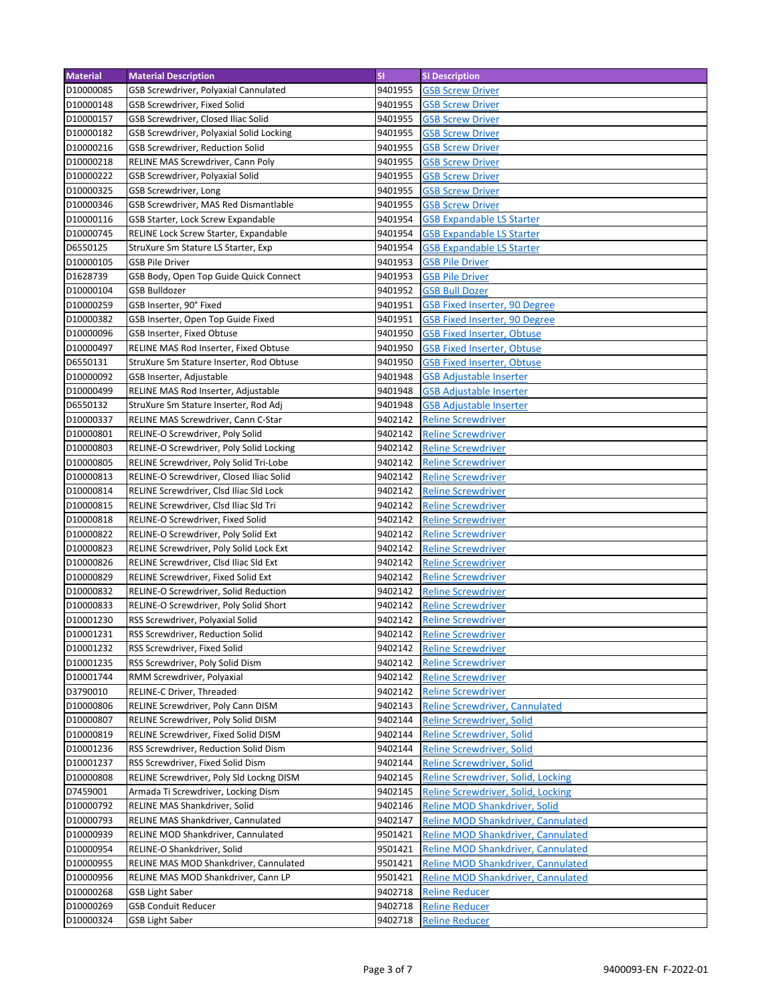| <b>Material</b> | <b>Material Description</b>              | <b>SI</b> | <b>SI Description</b>                                  |
|-----------------|------------------------------------------|-----------|--------------------------------------------------------|
| D10000085       | GSB Screwdriver, Polyaxial Cannulated    | 9401955   | <b>GSB Screw Driver</b>                                |
| D10000148       | GSB Screwdriver, Fixed Solid             | 9401955   | <b>GSB Screw Driver</b>                                |
| D10000157       | GSB Screwdriver, Closed Iliac Solid      | 9401955   | <b>GSB Screw Driver</b>                                |
| D10000182       | GSB Screwdriver, Polyaxial Solid Locking | 9401955   | <b>GSB Screw Driver</b>                                |
| D10000216       | GSB Screwdriver, Reduction Solid         | 9401955   | <b>GSB Screw Driver</b>                                |
| D10000218       | RELINE MAS Screwdriver, Cann Poly        | 9401955   | <b>GSB Screw Driver</b>                                |
| D10000222       | GSB Screwdriver, Polyaxial Solid         | 9401955   | <b>GSB Screw Driver</b>                                |
| D10000325       | GSB Screwdriver, Long                    | 9401955   | <b>GSB Screw Driver</b>                                |
| D10000346       | GSB Screwdriver, MAS Red Dismantlable    | 9401955   | <b>GSB Screw Driver</b>                                |
| D10000116       | GSB Starter, Lock Screw Expandable       | 9401954   | <b>GSB Expandable LS Starter</b>                       |
| D10000745       | RELINE Lock Screw Starter, Expandable    | 9401954   |                                                        |
|                 |                                          |           | <b>GSB Expandable LS Starter</b>                       |
| D6550125        | StruXure Sm Stature LS Starter, Exp      | 9401954   | <b>GSB Expandable LS Starter</b>                       |
| D10000105       | <b>GSB Pile Driver</b>                   | 9401953   | <b>GSB Pile Driver</b>                                 |
| D1628739        | GSB Body, Open Top Guide Quick Connect   | 9401953   | <b>GSB Pile Driver</b>                                 |
| D10000104       | <b>GSB Bulldozer</b>                     | 9401952   | <b>GSB Bull Dozer</b>                                  |
| D10000259       | GSB Inserter, 90° Fixed                  | 9401951   | <b>GSB Fixed Inserter, 90 Degree</b>                   |
| D10000382       | GSB Inserter, Open Top Guide Fixed       | 9401951   | <b>GSB Fixed Inserter, 90 Degree</b>                   |
| D10000096       | GSB Inserter, Fixed Obtuse               | 9401950   | <b>GSB Fixed Inserter, Obtuse</b>                      |
| D10000497       | RELINE MAS Rod Inserter, Fixed Obtuse    | 9401950   | <b>GSB Fixed Inserter, Obtuse</b>                      |
| D6550131        | StruXure Sm Stature Inserter, Rod Obtuse | 9401950   | <b>GSB Fixed Inserter, Obtuse</b>                      |
| D10000092       | GSB Inserter, Adjustable                 | 9401948   | <b>GSB Adjustable Inserter</b>                         |
| D10000499       | RELINE MAS Rod Inserter, Adjustable      | 9401948   | <b>GSB Adjustable Inserter</b>                         |
| D6550132        | StruXure Sm Stature Inserter, Rod Adj    | 9401948   | <b>GSB Adjustable Inserter</b>                         |
| D10000337       | RELINE MAS Screwdriver, Cann C-Star      | 9402142   | <b>Reline Screwdriver</b>                              |
| D10000801       | RELINE-O Screwdriver, Poly Solid         | 9402142   | <b>Reline Screwdriver</b>                              |
| D10000803       | RELINE-O Screwdriver, Poly Solid Locking | 9402142   | <b>Reline Screwdriver</b>                              |
| D10000805       | RELINE Screwdriver, Poly Solid Tri-Lobe  | 9402142   | <b>Reline Screwdriver</b>                              |
| D10000813       | RELINE-O Screwdriver, Closed Iliac Solid | 9402142   | <b>Reline Screwdriver</b>                              |
| D10000814       | RELINE Screwdriver, Clsd Iliac Sld Lock  | 9402142   | <b>Reline Screwdriver</b>                              |
| D10000815       | RELINE Screwdriver, Clsd Iliac Sld Tri   | 9402142   | <b>Reline Screwdriver</b>                              |
| D10000818       | RELINE-O Screwdriver, Fixed Solid        | 9402142   | <b>Reline Screwdriver</b>                              |
| D10000822       | RELINE-O Screwdriver, Poly Solid Ext     | 9402142   | <b>Reline Screwdriver</b>                              |
| D10000823       | RELINE Screwdriver, Poly Solid Lock Ext  | 9402142   | <b>Reline Screwdriver</b>                              |
| D10000826       | RELINE Screwdriver, Clsd Iliac Sld Ext   | 9402142   | <b>Reline Screwdriver</b>                              |
| D10000829       | RELINE Screwdriver, Fixed Solid Ext      | 9402142   | <b>Reline Screwdriver</b>                              |
| D10000832       | RELINE-O Screwdriver, Solid Reduction    | 9402142   | <b>Reline Screwdriver</b>                              |
| D10000833       | RELINE-O Screwdriver, Poly Solid Short   | 9402142   |                                                        |
| D10001230       | RSS Screwdriver, Polyaxial Solid         | 9402142   | <b>Reline Screwdriver</b><br><b>Reline Screwdriver</b> |
|                 |                                          |           |                                                        |
| D10001231       | RSS Screwdriver, Reduction Solid         | 9402142   | <b>Reline Screwdriver</b>                              |
| D10001232       | RSS Screwdriver, Fixed Solid             | 9402142   | <b>Reline Screwdriver</b>                              |
| D10001235       | RSS Screwdriver, Poly Solid Dism         | 9402142   | <b>Reline Screwdriver</b>                              |
| D10001744       | RMM Screwdriver, Polyaxial               | 9402142   | <b>Reline Screwdriver</b>                              |
| D3790010        | RELINE-C Driver, Threaded                | 9402142   | <b>Reline Screwdriver</b>                              |
| D10000806       | RELINE Screwdriver, Poly Cann DISM       | 9402143   | <b>Reline Screwdriver, Cannulated</b>                  |
| D10000807       | RELINE Screwdriver, Poly Solid DISM      | 9402144   | <b>Reline Screwdriver, Solid</b>                       |
| D10000819       | RELINE Screwdriver, Fixed Solid DISM     | 9402144   | <b>Reline Screwdriver, Solid</b>                       |
| D10001236       | RSS Screwdriver, Reduction Solid Dism    | 9402144   | Reline Screwdriver, Solid                              |
| D10001237       | RSS Screwdriver, Fixed Solid Dism        | 9402144   | Reline Screwdriver, Solid                              |
| D10000808       | RELINE Screwdriver, Poly Sld Lockng DISM | 9402145   | Reline Screwdriver, Solid, Locking                     |
| D7459001        | Armada Ti Screwdriver, Locking Dism      | 9402145   | <b>Reline Screwdriver, Solid, Locking</b>              |
| D10000792       | RELINE MAS Shankdriver, Solid            | 9402146   | Reline MOD Shankdriver, Solid                          |
| D10000793       | RELINE MAS Shankdriver, Cannulated       | 9402147   | Reline MOD Shankdriver, Cannulated                     |
| D10000939       | RELINE MOD Shankdriver, Cannulated       | 9501421   | Reline MOD Shankdriver, Cannulated                     |
| D10000954       | RELINE-O Shankdriver, Solid              | 9501421   | Reline MOD Shankdriver, Cannulated                     |
| D10000955       | RELINE MAS MOD Shankdriver, Cannulated   | 9501421   | Reline MOD Shankdriver, Cannulated                     |
| D10000956       | RELINE MAS MOD Shankdriver, Cann LP      | 9501421   | Reline MOD Shankdriver, Cannulated                     |
| D10000268       | <b>GSB Light Saber</b>                   | 9402718   | <b>Reline Reducer</b>                                  |
| D10000269       | <b>GSB Conduit Reducer</b>               | 9402718   | <b>Reline Reducer</b>                                  |
| D10000324       | <b>GSB Light Saber</b>                   | 9402718   | <b>Reline Reducer</b>                                  |
|                 |                                          |           |                                                        |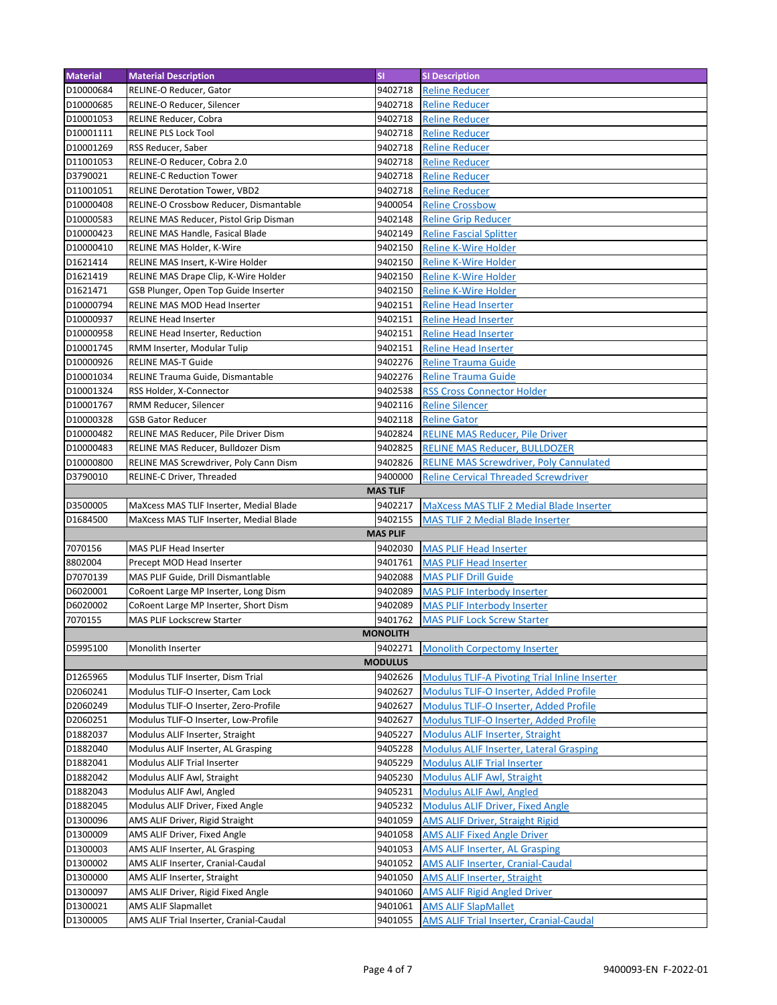| <b>Material</b> | <b>Material Description</b>                                 | <b>SI</b>       | <b>SI Description</b>                                |
|-----------------|-------------------------------------------------------------|-----------------|------------------------------------------------------|
| D10000684       | RELINE-O Reducer, Gator                                     | 9402718         | <b>Reline Reducer</b>                                |
| D10000685       | RELINE-O Reducer, Silencer                                  | 9402718         | <b>Reline Reducer</b>                                |
| D10001053       | RELINE Reducer, Cobra                                       | 9402718         | <b>Reline Reducer</b>                                |
| D10001111       | <b>RELINE PLS Lock Tool</b>                                 | 9402718         | <b>Reline Reducer</b>                                |
| D10001269       | RSS Reducer, Saber                                          | 9402718         | <b>Reline Reducer</b>                                |
| D11001053       | RELINE-O Reducer, Cobra 2.0                                 | 9402718         | <b>Reline Reducer</b>                                |
| D3790021        | <b>RELINE-C Reduction Tower</b>                             | 9402718         | <b>Reline Reducer</b>                                |
| D11001051       | <b>RELINE Derotation Tower, VBD2</b>                        | 9402718         | <b>Reline Reducer</b>                                |
| D10000408       | RELINE-O Crossbow Reducer, Dismantable                      | 9400054         | <b>Reline Crossbow</b>                               |
| D10000583       | RELINE MAS Reducer, Pistol Grip Disman                      | 9402148         | <b>Reline Grip Reducer</b>                           |
| D10000423       | RELINE MAS Handle, Fasical Blade                            | 9402149         | <b>Reline Fascial Splitter</b>                       |
| D10000410       | RELINE MAS Holder, K-Wire                                   | 9402150         | <b>Reline K-Wire Holder</b>                          |
| D1621414        | RELINE MAS Insert, K-Wire Holder                            | 9402150         | <b>Reline K-Wire Holder</b>                          |
| D1621419        | RELINE MAS Drape Clip, K-Wire Holder                        | 9402150         | <b>Reline K-Wire Holder</b>                          |
| D1621471        |                                                             | 9402150         | <b>Reline K-Wire Holder</b>                          |
|                 | GSB Plunger, Open Top Guide Inserter                        |                 |                                                      |
| D10000794       | RELINE MAS MOD Head Inserter<br><b>RELINE Head Inserter</b> | 9402151         | <b>Reline Head Inserter</b>                          |
| D10000937       |                                                             | 9402151         | <b>Reline Head Inserter</b>                          |
| D10000958       | RELINE Head Inserter, Reduction                             | 9402151         | <b>Reline Head Inserter</b>                          |
| D10001745       | RMM Inserter, Modular Tulip                                 | 9402151         | <b>Reline Head Inserter</b>                          |
| D10000926       | <b>RELINE MAS-T Guide</b>                                   | 9402276         | <b>Reline Trauma Guide</b>                           |
| D10001034       | RELINE Trauma Guide, Dismantable                            | 9402276         | <b>Reline Trauma Guide</b>                           |
| D10001324       | RSS Holder, X-Connector                                     | 9402538         | <b>RSS Cross Connector Holder</b>                    |
| D10001767       | RMM Reducer, Silencer                                       | 9402116         | <b>Reline Silencer</b>                               |
| D10000328       | <b>GSB Gator Reducer</b>                                    | 9402118         | <b>Reline Gator</b>                                  |
| D10000482       | RELINE MAS Reducer, Pile Driver Dism                        | 9402824         | <b>RELINE MAS Reducer, Pile Driver</b>               |
| D10000483       | RELINE MAS Reducer, Bulldozer Dism                          | 9402825         | <b>RELINE MAS Reducer, BULLDOZER</b>                 |
| D10000800       | RELINE MAS Screwdriver, Poly Cann Dism                      | 9402826         | <b>RELINE MAS Screwdriver, Poly Cannulated</b>       |
| D3790010        | RELINE-C Driver, Threaded                                   | 9400000         | <b>Reline Cervical Threaded Screwdriver</b>          |
|                 |                                                             | <b>MAS TLIF</b> |                                                      |
| D3500005        | MaXcess MAS TLIF Inserter, Medial Blade                     | 9402217         | MaXcess MAS TLIF 2 Medial Blade Inserter             |
| D1684500        | MaXcess MAS TLIF Inserter, Medial Blade                     | 9402155         | <b>MAS TLIF 2 Medial Blade Inserter</b>              |
|                 |                                                             | <b>MAS PLIF</b> |                                                      |
| 7070156         | MAS PLIF Head Inserter                                      | 9402030         | <b>MAS PLIF Head Inserter</b>                        |
| 8802004         | Precept MOD Head Inserter                                   | 9401761         | <b>MAS PLIF Head Inserter</b>                        |
| D7070139        | MAS PLIF Guide, Drill Dismantlable                          | 9402088         | <b>MAS PLIF Drill Guide</b>                          |
| D6020001        | CoRoent Large MP Inserter, Long Dism                        | 9402089         | <b>MAS PLIF Interbody Inserter</b>                   |
| D6020002        | CoRoent Large MP Inserter, Short Dism                       | 9402089         | <b>MAS PLIF Interbody Inserter</b>                   |
| 7070155         | MAS PLIF Lockscrew Starter                                  | 9401762         | <b>MAS PLIF Lock Screw Starter</b>                   |
|                 |                                                             | <b>MONOLITH</b> |                                                      |
| D5995100        | Monolith Inserter                                           | 9402271         | <b>Monolith Corpectomy Inserter</b>                  |
|                 |                                                             | <b>MODULUS</b>  |                                                      |
| D1265965        | Modulus TLIF Inserter, Dism Trial                           | 9402626         | <b>Modulus TLIF-A Pivoting Trial Inline Inserter</b> |
| D2060241        | Modulus TLIF-O Inserter, Cam Lock                           | 9402627         | Modulus TLIF-O Inserter, Added Profile               |
| D2060249        | Modulus TLIF-O Inserter, Zero-Profile                       | 9402627         | Modulus TLIF-O Inserter, Added Profile               |
| D2060251        | Modulus TLIF-O Inserter, Low-Profile                        | 9402627         | Modulus TLIF-O Inserter, Added Profile               |
| D1882037        | Modulus ALIF Inserter, Straight                             | 9405227         | <b>Modulus ALIF Inserter, Straight</b>               |
| D1882040        | Modulus ALIF Inserter, AL Grasping                          | 9405228         | <b>Modulus ALIF Inserter, Lateral Grasping</b>       |
| D1882041        | Modulus ALIF Trial Inserter                                 | 9405229         | <b>Modulus ALIF Trial Inserter</b>                   |
| D1882042        | Modulus ALIF Awl, Straight                                  | 9405230         | <b>Modulus ALIF Awl, Straight</b>                    |
| D1882043        | Modulus ALIF Awl, Angled                                    | 9405231         | <b>Modulus ALIF Awl, Angled</b>                      |
| D1882045        | Modulus ALIF Driver, Fixed Angle                            | 9405232         | <b>Modulus ALIF Driver, Fixed Angle</b>              |
| D1300096        | AMS ALIF Driver, Rigid Straight                             | 9401059         | <b>AMS ALIF Driver, Straight Rigid</b>               |
| D1300009        | AMS ALIF Driver, Fixed Angle                                | 9401058         | <b>AMS ALIF Fixed Angle Driver</b>                   |
| D1300003        | AMS ALIF Inserter, AL Grasping                              | 9401053         | <b>AMS ALIF Inserter, AL Grasping</b>                |
| D1300002        | AMS ALIF Inserter, Cranial-Caudal                           | 9401052         | <b>AMS ALIF Inserter, Cranial-Caudal</b>             |
| D1300000        |                                                             | 9401050         |                                                      |
|                 | AMS ALIF Inserter, Straight                                 |                 | <b>AMS ALIF Inserter, Straight</b>                   |
| D1300097        | AMS ALIF Driver, Rigid Fixed Angle                          | 9401060         | <b>AMS ALIF Rigid Angled Driver</b>                  |
| D1300021        | <b>AMS ALIF Slapmallet</b>                                  | 9401061         | <b>AMS ALIF SlapMallet</b>                           |
| D1300005        | AMS ALIF Trial Inserter, Cranial-Caudal                     | 9401055         | <b>AMS ALIF Trial Inserter, Cranial-Caudal</b>       |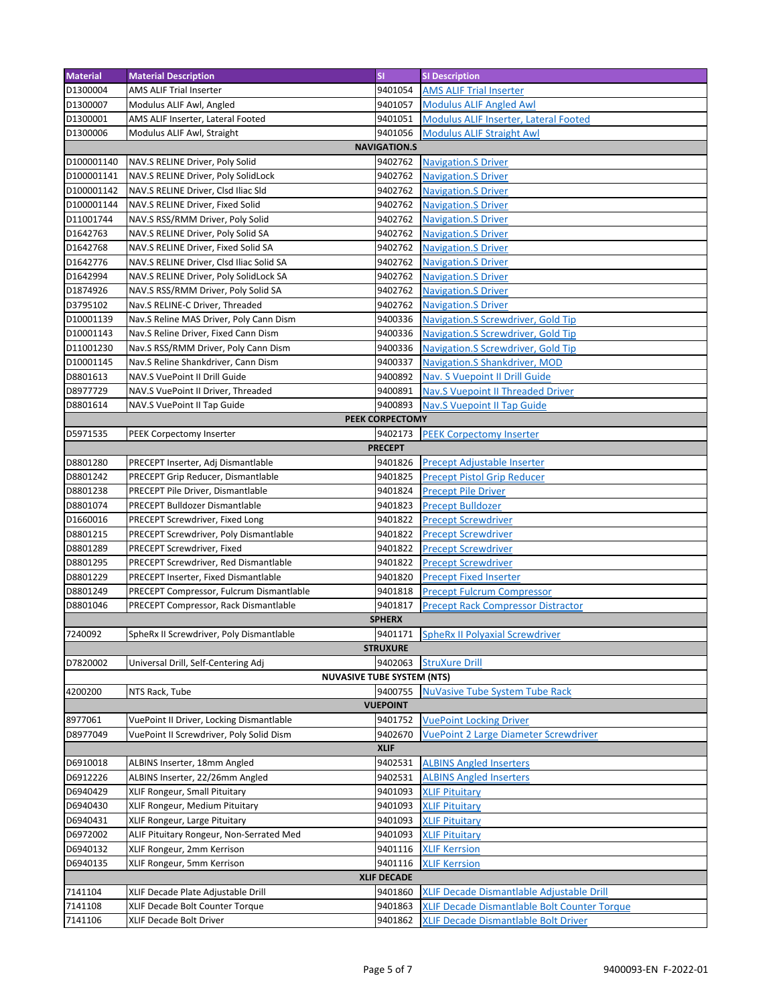| <b>Material</b>      | <b>Material Description</b>              | <b>SI</b>           | <b>SI Description</b>                        |
|----------------------|------------------------------------------|---------------------|----------------------------------------------|
| D1300004             | AMS ALIF Trial Inserter                  | 9401054             | <b>AMS ALIF Trial Inserter</b>               |
| D1300007             | Modulus ALIF Awl, Angled                 | 9401057             | <b>Modulus ALIF Angled Awl</b>               |
| D1300001             | AMS ALIF Inserter, Lateral Footed        | 9401051             | Modulus ALIF Inserter, Lateral Footed        |
| D1300006             | Modulus ALIF Awl, Straight               | 9401056             | <b>Modulus ALIF Straight Awl</b>             |
|                      |                                          | <b>NAVIGATION.S</b> |                                              |
| D100001140           | NAV.S RELINE Driver, Poly Solid          | 9402762             | <b>Navigation.S Driver</b>                   |
| D100001141           | NAV.S RELINE Driver, Poly SolidLock      | 9402762             | <b>Navigation.S Driver</b>                   |
| D100001142           | NAV.S RELINE Driver, Clsd Iliac Sld      | 9402762             | <b>Navigation.S Driver</b>                   |
| D100001144           | NAV.S RELINE Driver, Fixed Solid         | 9402762             | <b>Navigation.S Driver</b>                   |
| D11001744            | NAV.S RSS/RMM Driver, Poly Solid         | 9402762             | <b>Navigation.S Driver</b>                   |
| D1642763             | NAV.S RELINE Driver, Poly Solid SA       | 9402762             | <b>Navigation.S Driver</b>                   |
| D1642768             | NAV.S RELINE Driver, Fixed Solid SA      | 9402762             | <b>Navigation.S Driver</b>                   |
| D1642776             | NAV.S RELINE Driver, Clsd Iliac Solid SA | 9402762             | <b>Navigation.S Driver</b>                   |
| D1642994             | NAV.S RELINE Driver, Poly SolidLock SA   | 9402762             | <b>Navigation.S Driver</b>                   |
| D1874926             | NAV.S RSS/RMM Driver, Poly Solid SA      | 9402762             | <b>Navigation.S Driver</b>                   |
| D3795102             | Nav.S RELINE-C Driver, Threaded          | 9402762             | <b>Navigation.S Driver</b>                   |
| D10001139            | Nav.S Reline MAS Driver, Poly Cann Dism  | 9400336             | <b>Navigation.S Screwdriver, Gold Tip</b>    |
| D10001143            | Nav.S Reline Driver, Fixed Cann Dism     | 9400336             | Navigation.S Screwdriver, Gold Tip           |
| D11001230            | Nav.S RSS/RMM Driver, Poly Cann Dism     | 9400336             | Navigation.S Screwdriver, Gold Tip           |
| D10001145            | Nav.S Reline Shankdriver, Cann Dism      | 9400337             | <b>Navigation.S Shankdriver, MOD</b>         |
| D8801613             | NAV.S VuePoint II Drill Guide            | 9400892             | Nav. S Vuepoint II Drill Guide               |
| D8977729             | NAV.S VuePoint II Driver, Threaded       | 9400891             | <b>Nav.S Vuepoint II Threaded Driver</b>     |
| D8801614             | NAV.S VuePoint II Tap Guide              | 9400893             | <b>Nav.S Vuepoint II Tap Guide</b>           |
|                      |                                          | PEEK CORPECTOMY     |                                              |
| D5971535             | PEEK Corpectomy Inserter                 | 9402173             |                                              |
|                      |                                          | <b>PRECEPT</b>      | <b>PEEK Corpectomy Inserter</b>              |
| D8801280             | PRECEPT Inserter, Adj Dismantlable       | 9401826             | Precept Adjustable Inserter                  |
| D8801242             | PRECEPT Grip Reducer, Dismantlable       | 9401825             | <b>Precept Pistol Grip Reducer</b>           |
| D8801238             | PRECEPT Pile Driver, Dismantlable        | 9401824             | <b>Precept Pile Driver</b>                   |
| D8801074             | PRECEPT Bulldozer Dismantlable           | 9401823             | <b>Precept Bulldozer</b>                     |
| D1660016             | PRECEPT Screwdriver, Fixed Long          | 9401822             | <b>Precept Screwdriver</b>                   |
| D8801215             | PRECEPT Screwdriver, Poly Dismantlable   | 9401822             | <b>Precept Screwdriver</b>                   |
| D8801289             | PRECEPT Screwdriver, Fixed               | 9401822             | <b>Precept Screwdriver</b>                   |
| D8801295             | PRECEPT Screwdriver, Red Dismantlable    | 9401822             | <b>Precept Screwdriver</b>                   |
| D8801229             | PRECEPT Inserter, Fixed Dismantlable     | 9401820             | <b>Precept Fixed Inserter</b>                |
| D8801249             | PRECEPT Compressor, Fulcrum Dismantlable | 9401818             | <b>Precept Fulcrum Compressor</b>            |
| D8801046             |                                          | 9401817             | <b>Precept Rack Compressor Distractor</b>    |
|                      | PRECEPT Compressor, Rack Dismantlable    | <b>SPHERX</b>       |                                              |
| 7240092              | SpheRx II Screwdriver, Poly Dismantlable |                     | 9401171 SpheRx II Polvaxial Screwdriver      |
|                      |                                          | <b>STRUXURE</b>     |                                              |
| D7820002             | Universal Drill, Self-Centering Adj      | 9402063             | <b>StruXure Drill</b>                        |
|                      | <b>NUVASIVE TUBE SYSTEM (NTS)</b>        |                     |                                              |
| 4200200              | NTS Rack, Tube                           | 9400755             | <b>NuVasive Tube System Tube Rack</b>        |
|                      |                                          | <b>VUEPOINT</b>     |                                              |
| 8977061              | VuePoint II Driver, Locking Dismantlable | 9401752             | <b>VuePoint Locking Driver</b>               |
| D8977049             | VuePoint II Screwdriver, Poly Solid Dism | 9402670             | <b>VuePoint 2 Large Diameter Screwdriver</b> |
|                      |                                          | <b>XLIF</b>         |                                              |
|                      |                                          |                     |                                              |
| D6910018             | ALBINS Inserter, 18mm Angled             | 9402531<br>9402531  | <b>ALBINS Angled Inserters</b>               |
| D6912226             | ALBINS Inserter, 22/26mm Angled          |                     | <b>ALBINS Angled Inserters</b>               |
| D6940429             | XLIF Rongeur, Small Pituitary            | 9401093             | <b>XLIF Pituitary</b>                        |
| D6940430<br>D6940431 | XLIF Rongeur, Medium Pituitary           | 9401093<br>9401093  | <b>XLIF Pituitary</b>                        |
|                      | XLIF Rongeur, Large Pituitary            |                     | <b>XLIF Pituitary</b>                        |
| D6972002             | ALIF Pituitary Rongeur, Non-Serrated Med | 9401093             | <b>XLIF Pituitary</b>                        |
| D6940132             | XLIF Rongeur, 2mm Kerrison               | 9401116             | <b>XLIF Kerrsion</b>                         |
| D6940135             | XLIF Rongeur, 5mm Kerrison               | 9401116             | <b>XLIF Kerrsion</b>                         |
| <b>XLIF DECADE</b>   |                                          |                     |                                              |
| 7141104              | XLIF Decade Plate Adjustable Drill       | 9401860             | XLIF Decade Dismantlable Adjustable Drill    |
| 7141108              | XLIF Decade Bolt Counter Torque          | 9401863             | XLIF Decade Dismantlable Bolt Counter Torque |
| 7141106              | XLIF Decade Bolt Driver                  | 9401862             | XLIF Decade Dismantlable Bolt Driver         |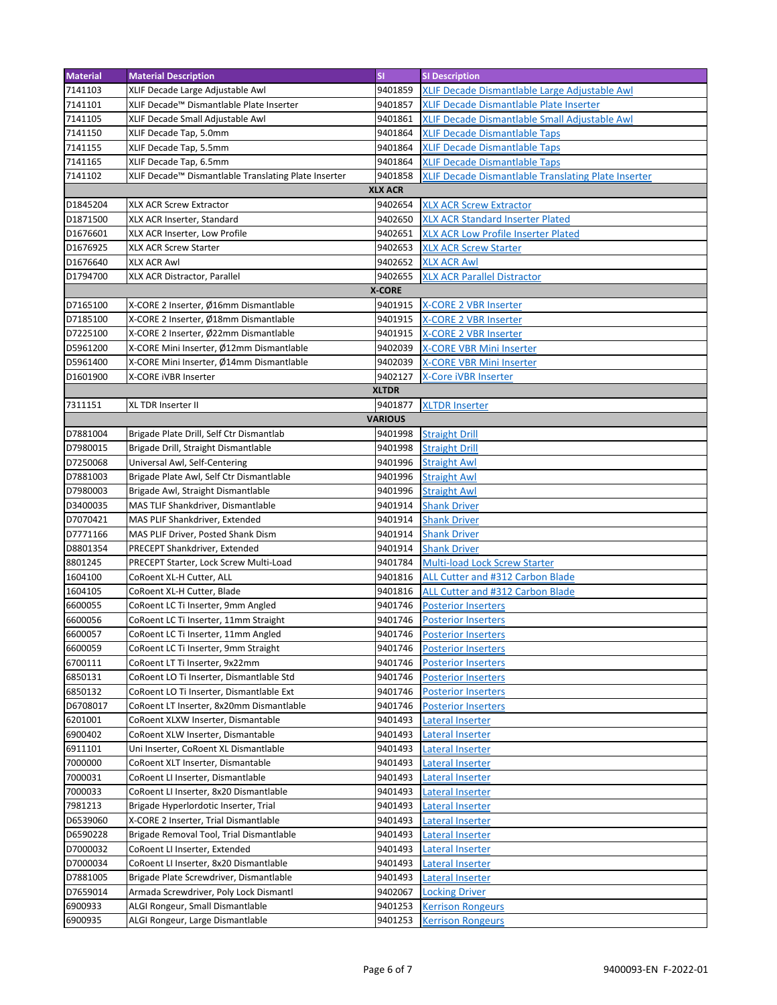| <b>Material</b> | <b>Material Description</b>                                                          | <b>SI</b>      | <b>SI Description</b>                               |
|-----------------|--------------------------------------------------------------------------------------|----------------|-----------------------------------------------------|
| 7141103         | XLIF Decade Large Adjustable Awl                                                     | 9401859        | XLIF Decade Dismantlable Large Adjustable Awl       |
| 7141101         | XLIF Decade™ Dismantlable Plate Inserter                                             | 9401857        | XLIF Decade Dismantlable Plate Inserter             |
| 7141105         | XLIF Decade Small Adjustable Awl                                                     | 9401861        | XLIF Decade Dismantlable Small Adjustable Awl       |
| 7141150         | XLIF Decade Tap, 5.0mm                                                               | 9401864        | <b>XLIF Decade Dismantlable Taps</b>                |
| 7141155         | XLIF Decade Tap, 5.5mm                                                               | 9401864        | <b>XLIF Decade Dismantlable Taps</b>                |
| 7141165         | XLIF Decade Tap, 6.5mm                                                               | 9401864        | <b>XLIF Decade Dismantlable Taps</b>                |
| 7141102         | XLIF Decade™ Dismantlable Translating Plate Inserter                                 | 9401858        | XLIF Decade Dismantlable Translating Plate Inserter |
|                 |                                                                                      | <b>XLX ACR</b> |                                                     |
| D1845204        | XLX ACR Screw Extractor                                                              | 9402654        | <b>XLX ACR Screw Extractor</b>                      |
| D1871500        | XLX ACR Inserter, Standard                                                           | 9402650        | <b>XLX ACR Standard Inserter Plated</b>             |
| D1676601        | XLX ACR Inserter, Low Profile                                                        | 9402651        | <b>XLX ACR Low Profile Inserter Plated</b>          |
| D1676925        |                                                                                      | 9402653        | <b>XLX ACR Screw Starter</b>                        |
|                 | <b>XLX ACR Screw Starter</b>                                                         |                |                                                     |
| D1676640        | <b>XLX ACR Awl</b>                                                                   | 9402652        | <b>XLX ACR Awl</b>                                  |
| D1794700        | XLX ACR Distractor, Parallel                                                         | 9402655        | <b>XLX ACR Parallel Distractor</b>                  |
|                 |                                                                                      | <b>X-CORE</b>  |                                                     |
| D7165100        | X-CORE 2 Inserter, Ø16mm Dismantlable                                                | 9401915        | <b>X-CORE 2 VBR Inserter</b>                        |
| D7185100        | X-CORE 2 Inserter, Ø18mm Dismantlable                                                | 9401915        | X-CORE 2 VBR Inserter                               |
| D7225100        | X-CORE 2 Inserter, Ø22mm Dismantlable                                                | 9401915        | <b>X-CORE 2 VBR Inserter</b>                        |
| D5961200        | X-CORE Mini Inserter, Ø12mm Dismantlable                                             | 9402039        | <b>X-CORE VBR Mini Inserter</b>                     |
| D5961400        | X-CORE Mini Inserter, Ø14mm Dismantlable                                             | 9402039        | <b>X-CORE VBR Mini Inserter</b>                     |
| D1601900        | X-CORE IVBR Inserter                                                                 | 9402127        | X-Core iVBR Inserter                                |
|                 |                                                                                      | <b>XLTDR</b>   |                                                     |
| 7311151         | XL TDR Inserter II                                                                   | 9401877        | <b>XLTDR Inserter</b>                               |
|                 |                                                                                      | <b>VARIOUS</b> |                                                     |
| D7881004        | Brigade Plate Drill, Self Ctr Dismantlab                                             | 9401998        | <b>Straight Drill</b>                               |
| D7980015        | Brigade Drill, Straight Dismantlable                                                 | 9401998        | <b>Straight Drill</b>                               |
| D7250068        | Universal Awl, Self-Centering                                                        | 9401996        | <b>Straight Awl</b>                                 |
| D7881003        | Brigade Plate Awl, Self Ctr Dismantlable                                             | 9401996        | <b>Straight Awl</b>                                 |
| D7980003        | Brigade Awl, Straight Dismantlable                                                   | 9401996        | <b>Straight Awl</b>                                 |
| D3400035        | MAS TLIF Shankdriver, Dismantlable                                                   | 9401914        | <b>Shank Driver</b>                                 |
| D7070421        | MAS PLIF Shankdriver, Extended                                                       | 9401914        | <b>Shank Driver</b>                                 |
| D7771166        | MAS PLIF Driver, Posted Shank Dism                                                   | 9401914        | <b>Shank Driver</b>                                 |
| D8801354        | PRECEPT Shankdriver, Extended                                                        | 9401914        | <b>Shank Driver</b>                                 |
| 8801245         | PRECEPT Starter, Lock Screw Multi-Load                                               | 9401784        | <b>Multi-load Lock Screw Starter</b>                |
| 1604100         | CoRoent XL-H Cutter, ALL                                                             | 9401816        | ALL Cutter and #312 Carbon Blade                    |
| 1604105         | CoRoent XL-H Cutter, Blade                                                           | 9401816        | ALL Cutter and #312 Carbon Blade                    |
| 6600055         | CoRoent LC Ti Inserter, 9mm Angled                                                   | 9401746        | <b>Posterior Inserters</b>                          |
| 6600056         | CoRoent LC Ti Inserter, 11mm Straight                                                | 9401746        | <b>Posterior Inserters</b>                          |
| 6600057         | CoRoent LC Ti Inserter, 11mm Angled                                                  |                | 9401746 Posterior Inserters                         |
| 6600059         | CoRoent LC Ti Inserter, 9mm Straight                                                 | 9401746        | <b>Posterior Inserters</b>                          |
| 6700111         | CoRoent LT Ti Inserter, 9x22mm                                                       | 9401746        | <b>Posterior Inserters</b>                          |
| 6850131         | CoRoent LO Ti Inserter, Dismantlable Std                                             | 9401746        |                                                     |
| 6850132         |                                                                                      | 9401746        | <b>Posterior Inserters</b>                          |
| D6708017        | CoRoent LO Ti Inserter, Dismantlable Ext<br>CoRoent LT Inserter, 8x20mm Dismantlable | 9401746        | <b>Posterior Inserters</b>                          |
|                 |                                                                                      |                | <b>Posterior Inserters</b>                          |
| 6201001         | CoRoent XLXW Inserter, Dismantable                                                   | 9401493        | Lateral Inserter                                    |
| 6900402         | CoRoent XLW Inserter, Dismantable                                                    | 9401493        | <b>Lateral Inserter</b>                             |
| 6911101         | Uni Inserter, CoRoent XL Dismantlable                                                | 9401493        | Lateral Inserter                                    |
| 7000000         | CoRoent XLT Inserter, Dismantable                                                    | 9401493        | Lateral Inserter                                    |
| 7000031         | CoRoent LI Inserter, Dismantlable                                                    | 9401493        | Lateral Inserter                                    |
| 7000033         | CoRoent LI Inserter, 8x20 Dismantlable                                               | 9401493        | Lateral Inserter                                    |
| 7981213         | Brigade Hyperlordotic Inserter, Trial                                                | 9401493        | Lateral Inserter                                    |
| D6539060        | X-CORE 2 Inserter, Trial Dismantlable                                                | 9401493        | Lateral Inserter                                    |
| D6590228        | Brigade Removal Tool, Trial Dismantlable                                             | 9401493        | Lateral Inserter                                    |
| D7000032        | CoRoent LI Inserter, Extended                                                        | 9401493        | Lateral Inserter                                    |
| D7000034        | CoRoent LI Inserter, 8x20 Dismantlable                                               | 9401493        | <b>Lateral Inserter</b>                             |
| D7881005        | Brigade Plate Screwdriver, Dismantlable                                              | 9401493        | Lateral Inserter                                    |
| D7659014        | Armada Screwdriver, Poly Lock Dismantl                                               | 9402067        | <b>Locking Driver</b>                               |
| 6900933         | ALGI Rongeur, Small Dismantlable                                                     | 9401253        | <b>Kerrison Rongeurs</b>                            |
| 6900935         | ALGI Rongeur, Large Dismantlable                                                     | 9401253        | <b>Kerrison Rongeurs</b>                            |